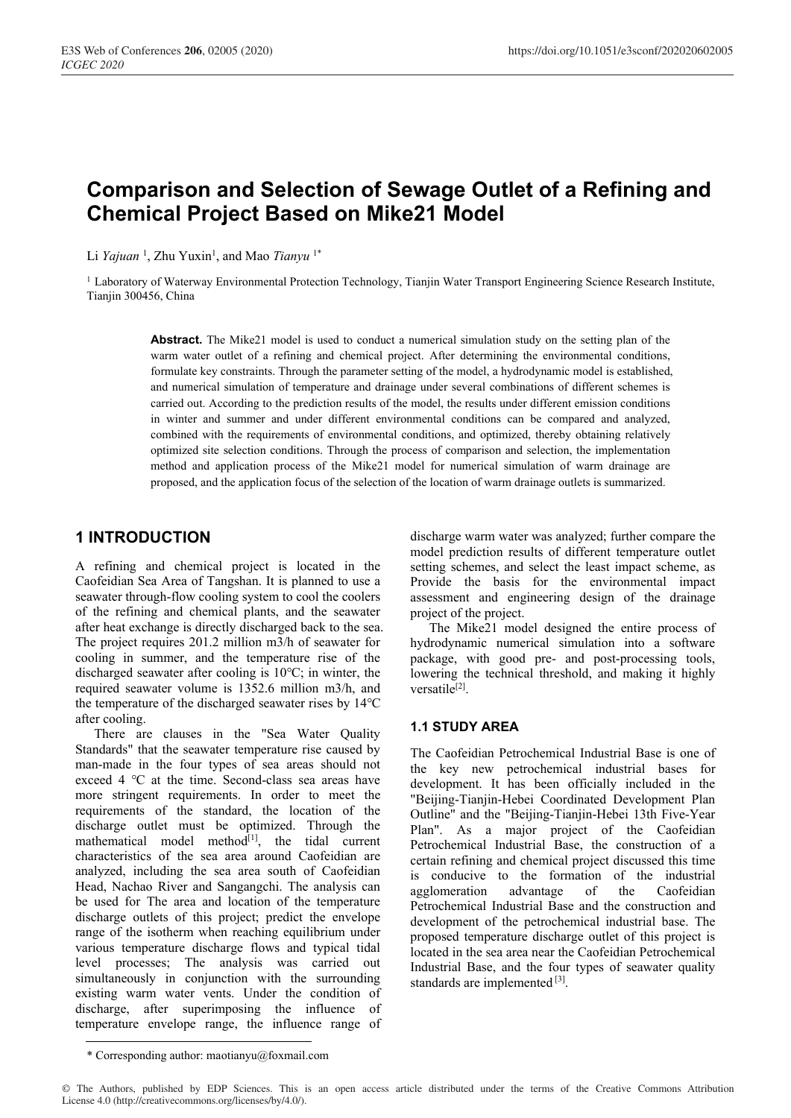# **Comparison and Selection of Sewage Outlet of a Refining and Chemical Project Based on Mike21 Model**

Li *Yajuan*<sup>1</sup>, Zhu Yuxin<sup>1</sup>, and Mao *Tianyu*<sup>1\*</sup>

<sup>1</sup> Laboratory of Waterway Environmental Protection Technology, Tianjin Water Transport Engineering Science Research Institute, Tianjin 300456, China

> **Abstract.** The Mike21 model is used to conduct a numerical simulation study on the setting plan of the warm water outlet of a refining and chemical project. After determining the environmental conditions, formulate key constraints. Through the parameter setting of the model, a hydrodynamic model is established, and numerical simulation of temperature and drainage under several combinations of different schemes is carried out. According to the prediction results of the model, the results under different emission conditions in winter and summer and under different environmental conditions can be compared and analyzed, combined with the requirements of environmental conditions, and optimized, thereby obtaining relatively optimized site selection conditions. Through the process of comparison and selection, the implementation method and application process of the Mike21 model for numerical simulation of warm drainage are proposed, and the application focus of the selection of the location of warm drainage outlets is summarized.

## **1 INTRODUCTION**

A refining and chemical project is located in the Caofeidian Sea Area of Tangshan. It is planned to use a seawater through-flow cooling system to cool the coolers of the refining and chemical plants, and the seawater after heat exchange is directly discharged back to the sea. The project requires 201.2 million m3/h of seawater for cooling in summer, and the temperature rise of the discharged seawater after cooling is 10℃; in winter, the required seawater volume is 1352.6 million m3/h, and the temperature of the discharged seawater rises by 14℃ after cooling.

There are clauses in the "Sea Water Quality Standards" that the seawater temperature rise caused by man-made in the four types of sea areas should not exceed 4 ℃ at the time. Second-class sea areas have more stringent requirements. In order to meet the requirements of the standard, the location of the discharge outlet must be optimized. Through the mathematical model method<sup>[1]</sup>, the tidal current characteristics of the sea area around Caofeidian are analyzed, including the sea area south of Caofeidian Head, Nachao River and Sangangchi. The analysis can be used for The area and location of the temperature discharge outlets of this project; predict the envelope range of the isotherm when reaching equilibrium under various temperature discharge flows and typical tidal level processes; The analysis was carried out simultaneously in conjunction with the surrounding existing warm water vents. Under the condition of discharge, after superimposing the influence of temperature envelope range, the influence range of discharge warm water was analyzed; further compare the model prediction results of different temperature outlet setting schemes, and select the least impact scheme, as Provide the basis for the environmental impact assessment and engineering design of the drainage project of the project.

The Mike21 model designed the entire process of hydrodynamic numerical simulation into a software package, with good pre- and post-processing tools, lowering the technical threshold, and making it highly versatile[2].

## **1.1 STUDY AREA**

The Caofeidian Petrochemical Industrial Base is one of the key new petrochemical industrial bases for development. It has been officially included in the "Beijing-Tianjin-Hebei Coordinated Development Plan Outline" and the "Beijing-Tianjin-Hebei 13th Five-Year Plan". As a major project of the Caofeidian Petrochemical Industrial Base, the construction of a certain refining and chemical project discussed this time is conducive to the formation of the industrial agglomeration advantage of the Caofeidian Petrochemical Industrial Base and the construction and development of the petrochemical industrial base. The proposed temperature discharge outlet of this project is located in the sea area near the Caofeidian Petrochemical Industrial Base, and the four types of seawater quality standards are implemented [3].

<sup>\*</sup> Corresponding author: maotianyu@foxmail.com

<sup>©</sup> The Authors, published by EDP Sciences. This is an open access article distributed under the terms of the Creative Commons Attribution License 4.0 (http://creativecommons.org/licenses/by/4.0/).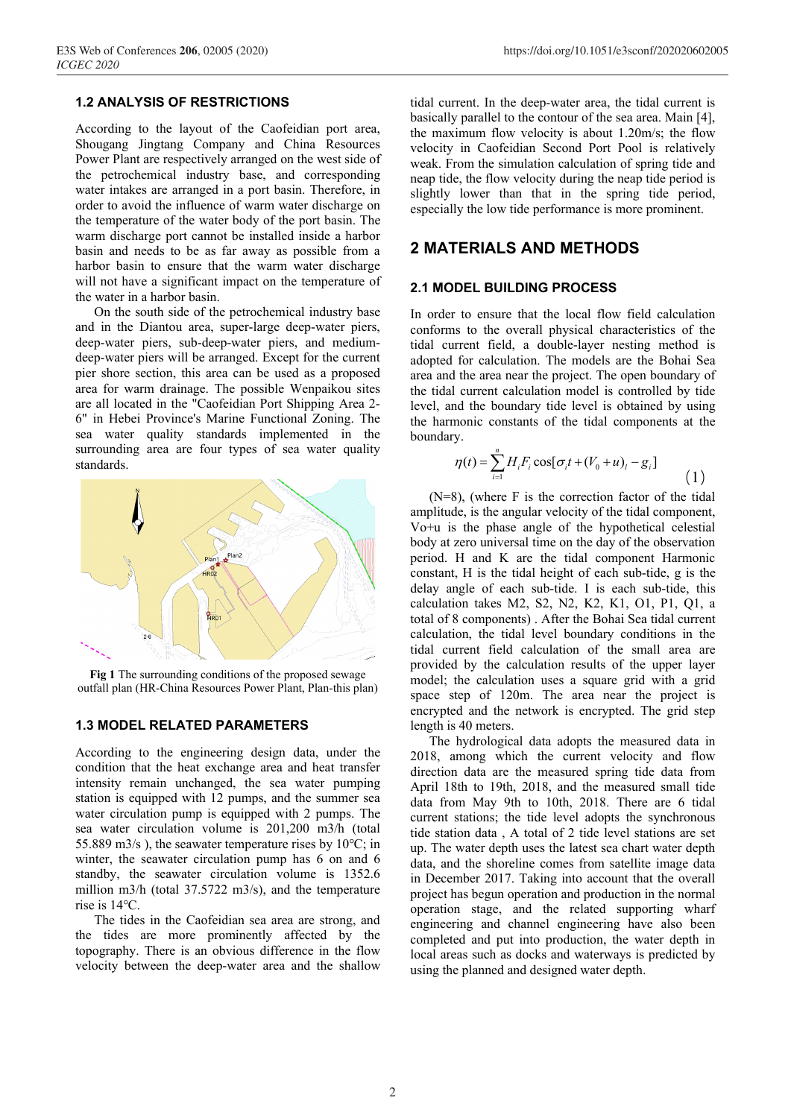# **1.2 ANALYSIS OF RESTRICTIONS**

According to the layout of the Caofeidian port area, Shougang Jingtang Company and China Resources Power Plant are respectively arranged on the west side of the petrochemical industry base, and corresponding water intakes are arranged in a port basin. Therefore, in order to avoid the influence of warm water discharge on the temperature of the water body of the port basin. The warm discharge port cannot be installed inside a harbor basin and needs to be as far away as possible from a harbor basin to ensure that the warm water discharge will not have a significant impact on the temperature of the water in a harbor basin.

On the south side of the petrochemical industry base and in the Diantou area, super-large deep-water piers, deep-water piers, sub-deep-water piers, and mediumdeep-water piers will be arranged. Except for the current pier shore section, this area can be used as a proposed area for warm drainage. The possible Wenpaikou sites are all located in the "Caofeidian Port Shipping Area 2- 6" in Hebei Province's Marine Functional Zoning. The sea water quality standards implemented in the surrounding area are four types of sea water quality standards.



**Fig 1** The surrounding conditions of the proposed sewage outfall plan (HR-China Resources Power Plant, Plan-this plan)

#### **1.3 MODEL RELATED PARAMETERS**

According to the engineering design data, under the condition that the heat exchange area and heat transfer intensity remain unchanged, the sea water pumping station is equipped with 12 pumps, and the summer sea water circulation pump is equipped with 2 pumps. The sea water circulation volume is 201,200 m3/h (total 55.889 m3/s ), the seawater temperature rises by 10℃; in winter, the seawater circulation pump has 6 on and 6 standby, the seawater circulation volume is 1352.6 million m3/h (total 37.5722 m3/s), and the temperature rise is 14℃.

The tides in the Caofeidian sea area are strong, and the tides are more prominently affected by the topography. There is an obvious difference in the flow velocity between the deep-water area and the shallow

tidal current. In the deep-water area, the tidal current is basically parallel to the contour of the sea area. Main [4], the maximum flow velocity is about 1.20m/s; the flow velocity in Caofeidian Second Port Pool is relatively weak. From the simulation calculation of spring tide and neap tide, the flow velocity during the neap tide period is slightly lower than that in the spring tide period, especially the low tide performance is more prominent.

#### **2 MATERIALS AND METHODS**

#### **2.1 MODEL BUILDING PROCESS**

In order to ensure that the local flow field calculation conforms to the overall physical characteristics of the tidal current field, a double-layer nesting method is adopted for calculation. The models are the Bohai Sea area and the area near the project. The open boundary of the tidal current calculation model is controlled by tide level, and the boundary tide level is obtained by using the harmonic constants of the tidal components at the boundary.

$$
\eta(t) = \sum_{i=1}^{n} H_i F_i \cos[\sigma_i t + (V_0 + u)_i - g_i]
$$
\n(1)

(N=8), (where F is the correction factor of the tidal amplitude, is the angular velocity of the tidal component, Vo+u is the phase angle of the hypothetical celestial body at zero universal time on the day of the observation period. H and K are the tidal component Harmonic constant, H is the tidal height of each sub-tide, g is the delay angle of each sub-tide. I is each sub-tide, this calculation takes M2, S2, N2, K2, K1, O1, P1, Q1, a total of 8 components) . After the Bohai Sea tidal current calculation, the tidal level boundary conditions in the tidal current field calculation of the small area are provided by the calculation results of the upper layer model; the calculation uses a square grid with a grid space step of 120m. The area near the project is encrypted and the network is encrypted. The grid step length is 40 meters.

The hydrological data adopts the measured data in 2018, among which the current velocity and flow direction data are the measured spring tide data from April 18th to 19th, 2018, and the measured small tide data from May 9th to 10th, 2018. There are 6 tidal current stations; the tide level adopts the synchronous tide station data , A total of 2 tide level stations are set up. The water depth uses the latest sea chart water depth data, and the shoreline comes from satellite image data in December 2017. Taking into account that the overall project has begun operation and production in the normal operation stage, and the related supporting wharf engineering and channel engineering have also been completed and put into production, the water depth in local areas such as docks and waterways is predicted by using the planned and designed water depth.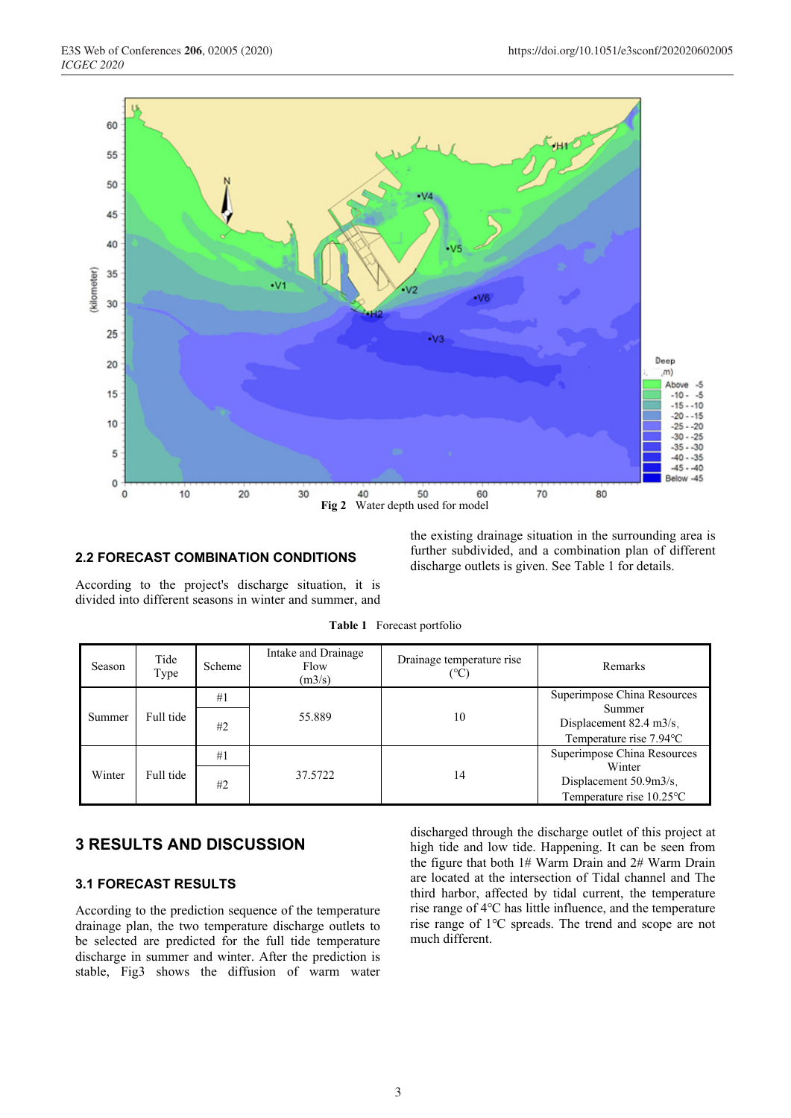

#### **2.2 FORECAST COMBINATION CONDITIONS**

According to the project's discharge situation, it is divided into different seasons in winter and summer, and

| the existing drainage situation in the surrounding area is |
|------------------------------------------------------------|
| further subdivided, and a combination plan of different    |
| discharge outlets is given. See Table 1 for details.       |

| Season | Tide<br>Type | Scheme | Intake and Drainage<br>Flow<br>(m3/s) | Drainage temperature rise<br>(°C` | <b>Remarks</b>                                                            |
|--------|--------------|--------|---------------------------------------|-----------------------------------|---------------------------------------------------------------------------|
| Summer | Full tide    | #1     |                                       |                                   | Superimpose China Resources                                               |
|        |              | #2     | 55.889                                | 10                                | Summer<br>Displacement $82.4 \text{ m}$ 3/s.<br>Temperature rise 7.94 °C  |
| Winter | Full tide    | #1     | 37.5722                               | 14                                | Superimpose China Resources                                               |
|        |              | #2     |                                       |                                   | Winter<br>Displacement $50.9m3/s$ .<br>Temperature rise $10.25^{\circ}$ C |

## **3 RESULTS AND DISCUSSION**

### **3.1 FORECAST RESULTS**

According to the prediction sequence of the temperature drainage plan, the two temperature discharge outlets to be selected are predicted for the full tide temperature discharge in summer and winter. After the prediction is stable, Fig3 shows the diffusion of warm water discharged through the discharge outlet of this project at high tide and low tide. Happening. It can be seen from the figure that both 1# Warm Drain and 2# Warm Drain are located at the intersection of Tidal channel and The third harbor, affected by tidal current, the temperature rise range of 4℃ has little influence, and the temperature rise range of 1℃ spreads. The trend and scope are not much different.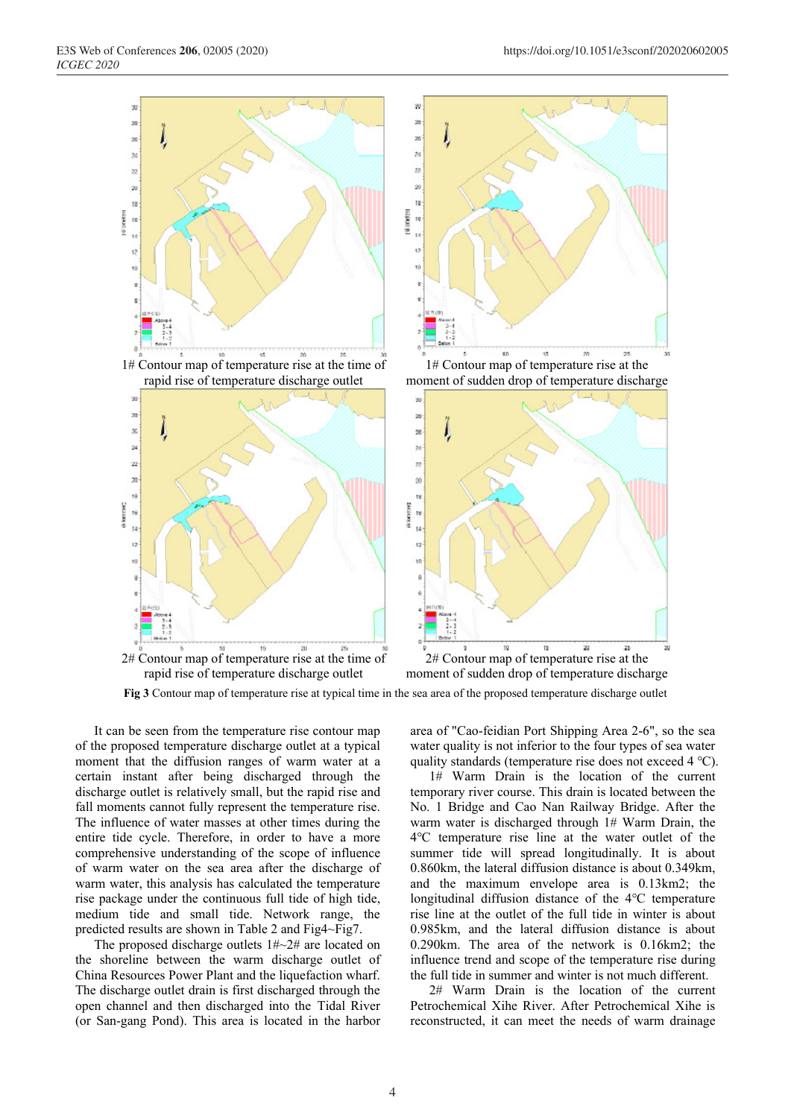

**Fig 3** Contour map of temperature rise at typical time in the sea area of the proposed temperature discharge outlet

It can be seen from the temperature rise contour map of the proposed temperature discharge outlet at a typical moment that the diffusion ranges of warm water at a certain instant after being discharged through the discharge outlet is relatively small, but the rapid rise and fall moments cannot fully represent the temperature rise. The influence of water masses at other times during the entire tide cycle. Therefore, in order to have a more comprehensive understanding of the scope of influence of warm water on the sea area after the discharge of warm water, this analysis has calculated the temperature rise package under the continuous full tide of high tide, medium tide and small tide. Network range, the predicted results are shown in Table 2 and Fig4~Fig7.

The proposed discharge outlets 1#~2# are located on the shoreline between the warm discharge outlet of China Resources Power Plant and the liquefaction wharf. The discharge outlet drain is first discharged through the open channel and then discharged into the Tidal River (or San-gang Pond). This area is located in the harbor

area of "Cao-feidian Port Shipping Area 2-6", so the sea water quality is not inferior to the four types of sea water quality standards (temperature rise does not exceed 4 ℃).

1# Warm Drain is the location of the current temporary river course. This drain is located between the No. 1 Bridge and Cao Nan Railway Bridge. After the warm water is discharged through 1# Warm Drain, the 4℃ temperature rise line at the water outlet of the summer tide will spread longitudinally. It is about 0.860km, the lateral diffusion distance is about 0.349km, and the maximum envelope area is 0.13km2; the longitudinal diffusion distance of the 4℃ temperature rise line at the outlet of the full tide in winter is about 0.985km, and the lateral diffusion distance is about 0.290km. The area of the network is 0.16km2; the influence trend and scope of the temperature rise during the full tide in summer and winter is not much different.

2# Warm Drain is the location of the current Petrochemical Xihe River. After Petrochemical Xihe is reconstructed, it can meet the needs of warm drainage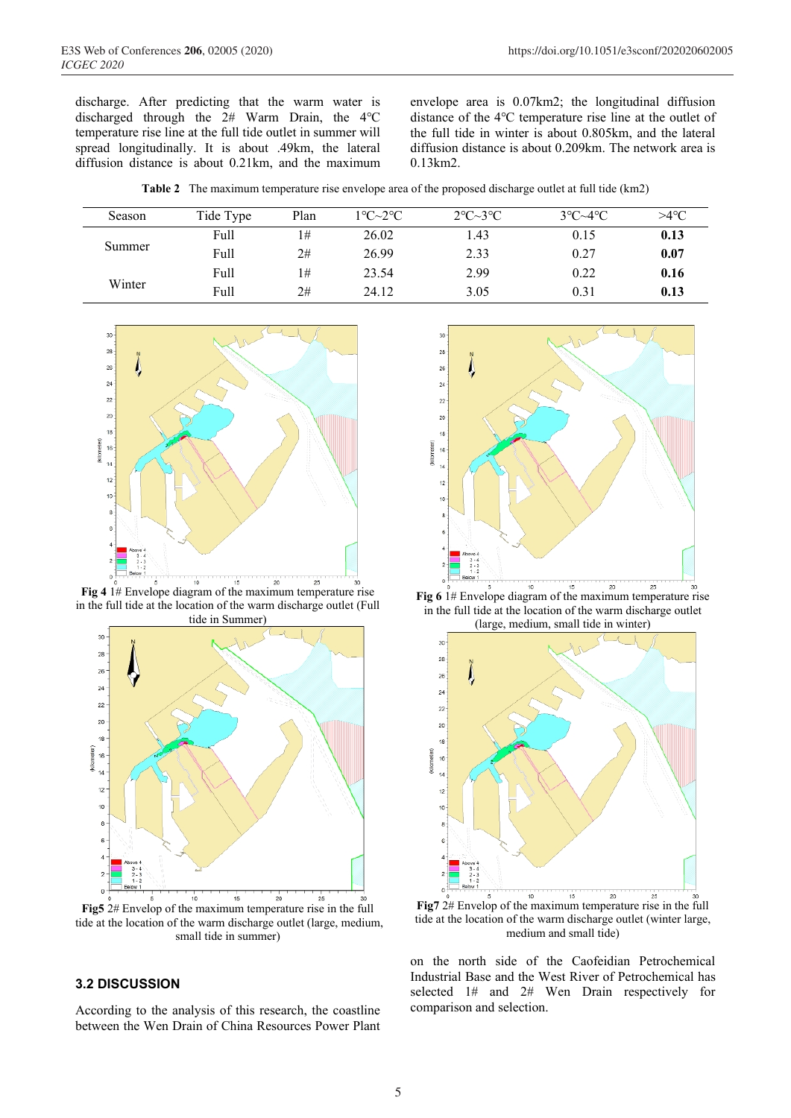discharge. After predicting that the warm water is discharged through the 2# Warm Drain, the 4℃ temperature rise line at the full tide outlet in summer will spread longitudinally. It is about .49km, the lateral diffusion distance is about 0.21km, and the maximum envelope area is 0.07km2; the longitudinal diffusion distance of the 4℃ temperature rise line at the outlet of the full tide in winter is about 0.805km, and the lateral diffusion distance is about 0.209km. The network area is 0.13km2.

**Table 2** The maximum temperature rise envelope area of the proposed discharge outlet at full tide (km2)

| Season | Tide Type | Plan | $1^{\circ}$ C $\sim$ 2 $^{\circ}$ C | $2^{\circ}C \sim 3^{\circ}C$ | $3^{\circ}C - 4^{\circ}C$ | $>4$ °C |
|--------|-----------|------|-------------------------------------|------------------------------|---------------------------|---------|
| Summer | Full      | 1#   | 26.02                               | 1.43                         | 0.15                      | 0.13    |
|        | Full      | 2#   | 26.99                               | 2.33                         | 0.27                      | 0.07    |
| Winter | Full      | 1#   | 23.54                               | 2.99                         | 0.22                      | 0.16    |
|        | Full      | 2#   | 24.12                               | 3.05                         | 0.31                      | 0.13    |



**Fig 4** 1# Envelope diagram of the maximum temperature rise in the full tide at the location of the warm discharge outlet (Full tide in Summer)



**Fig5** 2# Envelop of the maximum temperature rise in the full tide at the location of the warm discharge outlet (large, medium, small tide in summer)

### **3.2 DISCUSSION**

According to the analysis of this research, the coastline between the Wen Drain of China Resources Power Plant



**Fig 6** 1# Envelope diagram of the maximum temperature rise in the full tide at the location of the warm discharge outlet (large, medium, small tide in winter)



**Fig7** 2# Envelop of the maximum temperature rise in the full tide at the location of the warm discharge outlet (winter large, medium and small tide)

on the north side of the Caofeidian Petrochemical Industrial Base and the West River of Petrochemical has selected 1# and 2# Wen Drain respectively for comparison and selection.